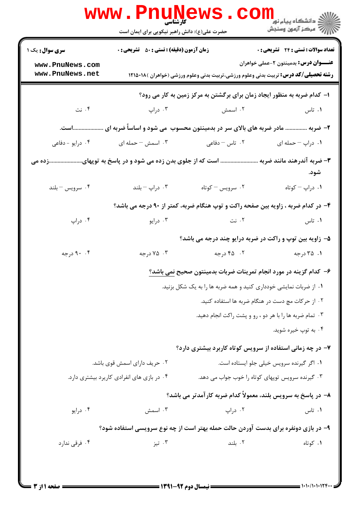|                                    | حضرت علی(ع): دانش راهبر نیکویی برای ایمان است                                                                          | کارشناسی                                                                            | ر دانشڪاه پيام نور <mark>−</mark><br>ا∛ مرکز آزمون وسنڊش |  |
|------------------------------------|------------------------------------------------------------------------------------------------------------------------|-------------------------------------------------------------------------------------|----------------------------------------------------------|--|
| <b>سری سوال:</b> یک ۱              | <b>زمان آزمون (دقیقه) : تستی : 50 ٪ تشریحی : 0</b>                                                                     |                                                                                     | تعداد سوالات : تستي : 24 - تشريحي : 0                    |  |
| www.PnuNews.com<br>www.PnuNews.net | <b>رشته تحصیلی/کد درس:</b> تربیت بدنی وعلوم ورزشی،تربیت بدنی وعلوم ورزشی (خواهران )۱۲۱۵۰۱۸                             |                                                                                     | <b>عنـــوان درس:</b> بدمینتون ۲-عملی خواهران             |  |
|                                    |                                                                                                                        | ا- کدام ضربه به منظور ایجاد زمان برای برگشتن به مرکز زمین به کار می رود؟            |                                                          |  |
| ۰۴ نت                              | ۰۳ دراپ                                                                                                                | ۰۲ اسمش                                                                             | ۰۱ تاس                                                   |  |
| است.                               |                                                                                                                        | ۲- ضربه  مادر ضربه های بالای سر در بدمینتون محسوب ً می شود و اساساً ضربه ای         |                                                          |  |
| ۰۴ درايو - دفاعي                   | ۰۳ اسمش – حمله ای                                                                                                      | ۰۲ تاس <sup>—</sup> دفاعی                                                           | ۰۱ دراپ – حمله ای                                        |  |
|                                    |                                                                                                                        | ۳- ضربه آندرهند مانند ضربه  است که از جلوی بدن زده می شود و در پاسخ به توپهایزده می | شود.                                                     |  |
| ۰۴ سرويس - بلند                    | دراپ $-$ بلند $\cdot$                                                                                                  | ۰۲ سرویس – کوتاه                                                                    | ٠١ دراپ - کوتاه                                          |  |
|                                    |                                                                                                                        | ۴- در کدام ضربه ، زاویه بین صفحه راکت و توپ هنگام ضربه، کمتر از ۹۰ درجه می باشد؟    |                                                          |  |
| ۰۴ دراپ                            | ۰۳ درايو                                                                                                               | ۰۲ نت                                                                               | ۰۱ تاس                                                   |  |
|                                    |                                                                                                                        | ۵– زاویه بین توپ و راکت در ضربه درایو چند درجه می باشد؟                             |                                                          |  |
| ۰۴ درجه                            | ۰۳ درجه                                                                                                                | ۰۲ - ۴۵ درجه                                                                        | ۰۱ ۲۵ درجه                                               |  |
|                                    | ۶– کدام گزینه در مورد انجام تمرینات ضربات بدمینتون صحیح نمی باشد؟                                                      |                                                                                     |                                                          |  |
|                                    | ۰۱ از ضربات نمایشی خودداری کنید و همه ضربه ها را به یک شکل بزنید.<br>۰۲ از حرکات مچ دست در هنگام ضربه ها استفاده کنید. |                                                                                     |                                                          |  |
|                                    |                                                                                                                        |                                                                                     |                                                          |  |
|                                    | ۰۳ تمام ضربه ها را با هر دو ، رو و پشت راکت انجام دهید.                                                                |                                                                                     |                                                          |  |
|                                    |                                                                                                                        |                                                                                     | ۰۴ به توپ خیره شوید.                                     |  |
|                                    |                                                                                                                        | ۷- در چه زمانی استفاده از سرویس کوتاه کاربرد بیشتری دارد؟                           |                                                          |  |
|                                    | ۰۲ حریف دارای اسمش قوی باشد.                                                                                           | ٠١ اگر گيرنده سرويس خيلي جلو ايستاده است.                                           |                                                          |  |
|                                    | ۰۴ در بازی های انفرادی کاریرد بیشتری دارد.                                                                             | ۰۳ گیرنده سرویس توپهای کوتاه را خوب جواب می دهد.                                    |                                                          |  |
|                                    |                                                                                                                        | ۸– در پاسخ به سرویس بلند، معمولاً کدام ضربه کارآمدتر می باشد؟                       |                                                          |  |
| ۰۴ درايو                           | ۰۳ اسمش                                                                                                                | ۰۲ دراپ                                                                             | ۰۱ تاس                                                   |  |
|                                    |                                                                                                                        | ۹- در بازی دونفره برای بدست آوردن حالت حمله بهتر است از چه نوع سرویسی استفاده شود؟  |                                                          |  |
| ۰۴ فرقی ندارد                      | ۰۳ تيز                                                                                                                 | ۰۲ بلند                                                                             | ۰۱ کوتاه                                                 |  |

 $= 1 - 1 - 11 - 111$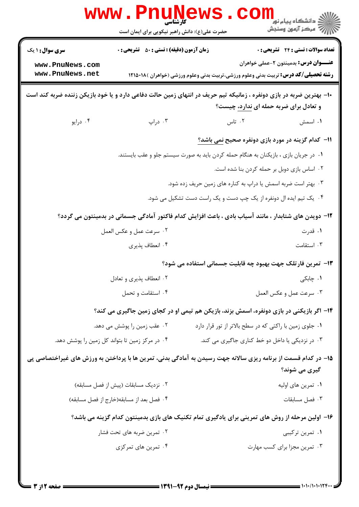| www.PnuNews                                                                                                         |                                                                                                       |                                                                                            |                                                          |  |  |
|---------------------------------------------------------------------------------------------------------------------|-------------------------------------------------------------------------------------------------------|--------------------------------------------------------------------------------------------|----------------------------------------------------------|--|--|
|                                                                                                                     | حضرت علی(ع): دانش راهبر نیکویی برای ایمان است                                                         |                                                                                            | دانشکاه پیام نور<br>ا∛ مرکز آزمون وسنجش                  |  |  |
| <b>سری سوال : ۱ یک</b>                                                                                              | <b>زمان آزمون (دقیقه) : تستی : 50 ٪ تشریحی : 0</b>                                                    |                                                                                            | تعداد سوالات : تستي : 24 - تشريحي : 0                    |  |  |
| www.PnuNews.com                                                                                                     |                                                                                                       |                                                                                            | <b>عنــــوان درس:</b> بدمینتون ۲-عملی خواهران            |  |  |
| www.PnuNews.net                                                                                                     |                                                                                                       | <b>رشته تحصیلی/کد درس:</b> تربیت بدنی وعلوم ورزشی،تربیت بدنی وعلوم ورزشی (خواهران )۱۲۱۵۰۱۸ |                                                          |  |  |
| ∙ا− بهترین ضربه در بازی دونفره ، زمانیکه تیم حریف در انتهای زمین حالت دفاعی دارد و یا خود بازیکن زننده ضربه کند است |                                                                                                       |                                                                                            |                                                          |  |  |
|                                                                                                                     |                                                                                                       |                                                                                            | و تعادل برای ضربه حمله ای ندارد، چیست؟                   |  |  |
| ۰۴ درايو                                                                                                            | ۰۳ دراپ                                                                                               | ۰۲ تاس                                                                                     | ٠١ اسمش                                                  |  |  |
|                                                                                                                     |                                                                                                       |                                                                                            | 11- كدام گزينه در مورد بازي دونفره صحيح <u>نمي</u> باشد؟ |  |  |
|                                                                                                                     |                                                                                                       | ۰۱ در جریان بازی ، بازیکنان به هنگام حمله کردن باید به صورت سیستم جلو و عقب بایستند.       |                                                          |  |  |
|                                                                                                                     |                                                                                                       |                                                                                            | ٠٢ اساس بازى دوبل بر حمله كردن بنا شده است.              |  |  |
|                                                                                                                     |                                                                                                       | ۰۳ بهتر است ضربه اسمش یا دراپ به کناره های زمین حریف زده شود.                              |                                                          |  |  |
|                                                                                                                     |                                                                                                       | ۰۴ یک تیم ایده ال دونفره از یک چپ دست و یک راست دست تشکیل می شود.                          |                                                          |  |  |
|                                                                                                                     | ۱۲– دویدن های شتابدار ، مانند آسیاب بادی ، باعث افزایش کدام فاکتور آمادگی جسمانی در بدمینتون می گردد؟ |                                                                                            |                                                          |  |  |
|                                                                                                                     | ٠٢ سرعت عمل و عكس العمل                                                                               |                                                                                            | ۰۱ قدرت                                                  |  |  |
|                                                                                                                     | ۰۴ انعطاف پذیری                                                                                       |                                                                                            | ۰۳ استقامت                                               |  |  |
|                                                                                                                     |                                                                                                       | ۱۳- تمرین فارتلک جهت بهبود چه قابلیت جسمانی استفاده می شود؟                                |                                                          |  |  |
|                                                                                                                     | ۰۲ انعطاف پذیری و تعادل                                                                               |                                                                                            | ۰۱ چابکی                                                 |  |  |
|                                                                                                                     | ۰۴ استقامت و تحمل                                                                                     |                                                                                            | ٠٣ سرعت عمل و عكس العمل                                  |  |  |
|                                                                                                                     | ۱۴- اگر بازیکنی در بازی دونفره، اسمش بزند، بازیکن هم تیمی او در کجای زمین جاگیری می کند؟              |                                                                                            |                                                          |  |  |
|                                                                                                                     | ۰۲ عقب زمین را پوشش می دهد.                                                                           | ٠١ جلوى زمين با راكتى كه در سطح بالاتر از تور قرار دارد                                    |                                                          |  |  |
|                                                                                                                     | ۰۴ در مرکز زمین تا بتواند کل زمین را پوشش دهد.                                                        | ۰۳ در نزدیکی یا داخل دو خط کناری جاگیری می کند.                                            |                                                          |  |  |
| ۱۵– در کدام قسمت از برنامه ریزی سالانه جهت رسیدن به آمادگی بدنی، تمرین ها با پرداختن به ورزش های غیراختصاصی پی      |                                                                                                       |                                                                                            |                                                          |  |  |
|                                                                                                                     |                                                                                                       |                                                                                            | گیری می شوند؟                                            |  |  |
|                                                                                                                     | ۰۲ نزدیک مسابقات (پیش از فصل مسابقه)                                                                  |                                                                                            | ۰۱ تمرین های اولیه                                       |  |  |
|                                                                                                                     | ۰۴ فصل بعد از مسابقه(خارج از فصل مسابقه)                                                              |                                                                                            | ۰۳ فصل مسابقات                                           |  |  |
|                                                                                                                     | ۱۶– اولین مرحله از روش های تمرینی برای یادگیری تمام تکنیک های بازی بدمینتون کدام گزینه می باشد؟       |                                                                                            |                                                          |  |  |
|                                                                                                                     | ۰۲ تمرین ضربه های تحت فشار                                                                            |                                                                                            | ۰۱ تمرین ترکیبی                                          |  |  |
|                                                                                                                     | ۰۴ تمرین های تمرکزی                                                                                   |                                                                                            | ۰۳ تمرین مجزا برای کسب مهارت                             |  |  |
|                                                                                                                     |                                                                                                       |                                                                                            |                                                          |  |  |